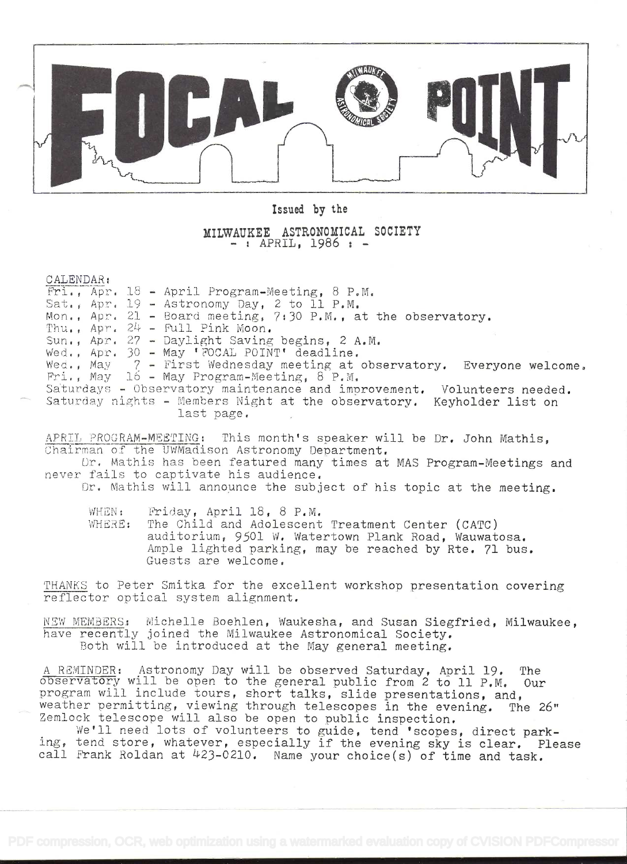

Issued by the

MILWAUKEE ASTRONOMICAL SOCIETY<br>- : APRIL, 1986 : -

CALENDAR:<br>Fri., Apr. 18 - April Program-Meeting, 8 P.M. Sat., Apr.  $19$  - Astronomy Day, 2 to 11 P.M. Mon., Apr. 21 - board meeting, 7t30 P.M., at the observatory. Thu.,  $Apr. 24 - Full Pink Moon.$ Sun., Apr.  $27$  - Daylight Saving begins, 2 A.M. Wed., Apr. 30 - May 'FOCAL POINT' deadline. Wed., May 7 - First Wednesday meeting at observatory. Everyone welcome.<br>Fri., May ló - May Program-Meeting, 8 P.M. Saturdays - Observatory maintenance and improvement. Volunteers needed. Saturday nights - Members Night at the observatory. Keyholder list on last page.

APRIL PROGRAM-MEETING: This month's speaker will be Dr. John Mathis. Chairman of the UWMadison Astronomy Department.

Dr. Mathis has been featured many times at MAS Program-Meetings and never fails to captivate his audience.

Dr. Mathis will announce the subject of his topic at the meeting.

WHEN: Friday, April  $18, 8$  P.M. WHERE: The Child and Adolescent Treatment Center (CATC) auditorium, 9501 W. Watertown Plank Road, Wauwatosa. Ample lighted parking, may be reached by Rte. 71 bus. Guests are welcome.

THANKS to Peter Smitka for the excellent workshop presentation covering reflector optical system alignment.

NEW MEMBERS: Michelle Boehlen, Waukesha, and Susan Siegfried, Milwaukee, have recently joined the Milwaukee Astronomical Society. Both will be introduced at the May general meeting.

<sup>A</sup>RIMINDER: Astronomy Day will be observed Saturday, April 19. The observatöy will be open to the general public from 2 to 11 P.M. Our program will include tours, short talks, slide presentations, and,<br>weather permitting, viewing through telescopes in the evening. The 26" weather permitting, viewing through telescopes in the evening. Zemlock telescope will also be open to public inspection.

We'll need lots of volunteers to guide, tend 'scopes, direct parking, tend store, whatever, especially if the evening sky is clear. Please call Frank Roldan at  $423-0210$ . Name your choice(s) of time and task.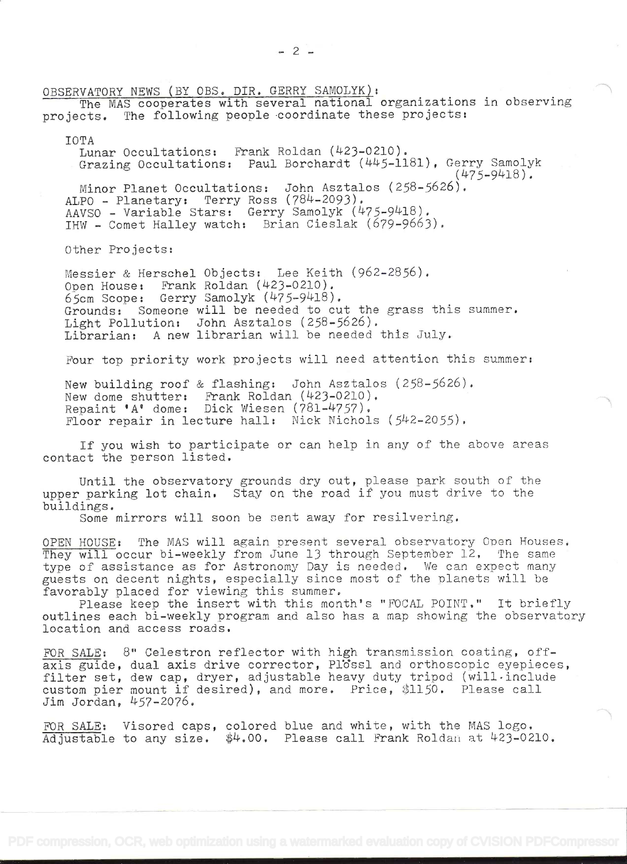OBSERVATORY NEWS (BY OBS. DIR. GERRY SAMOLYK):

The MAS cooperates with several national organizations in observing projects. The following people coordinate these projects:

IOTA

Lunar Occultations: Prank Roldan (423-0210). Grazing Occultations: Paul Borchardt (445-1181), Gerry Samolyk (475-9418). Minor Planet Occultations: John Asztalos (258-5626). ALPO - Planetary: Terry Ross (784-2093), AAVSO – Variable Stars: Gerry Samolyk (475–9418). IHW - Comet Halley watch: Brian Cieslak (679-9663).

Other Projects:

Messier & Herschel Objects: Lee Keith (962-2856). Open House: Frank Roldan (423-0210). 65cm Scope: Gerry Samolyk (475-9418). Grounds: Someone will be needed to cut the grass this summer. Light Pollution: John Asztalos (258-5626), Librarian: A new librarian will be needed this July.

Four top priority work projects will need attention this summer:

New building roof & flashing: John Asztalos (258-5626). New dome shutter: Frank Roldan (423-0210). Repaint 'A' dome: Dick Wiesen (781-4757), Floor repair in lecture hall: Nick Nichols (542-2055).

If you wish to participate or can help in any of the above areas contact the person listed,

Until the observatory grounds dry out, please park south of the upper parking lot chain, Stay on the road if you must drive to the buildings.

Some mirrors will soon be sent away for resilvering.

OPEN HOUSE: The MAS will again present several observatory Open Houses, They will occur bi-weekly from June 13 through September 12, The same type of assistance as for Astronomy Day is needed, We can expect many guests on decent nights, especially since most of the planets will be favorably placed for viewing this summer.

Please keep the insert with this month's "FOCAL POINT." It briefly outlines each bi-weekly program and also has a map showing the observatory location and access roads,

FOR SALE: 8" Celestron reflector with high transmission coating, offaxis guide, dual axis drive corrector, Plossl and orthoscopic eyepieces, filter set, dew cap, dryer, adjustable heavy duty tripod (will include custom pier mount if desired), and more. Price, \$1150. Please call Jim Jordan, 457-2076.

FOR SALE: Visored caps, colored blue and white, with the MAS logo,  $\overline{\text{Adjustable}}$  to any size.  $\frac{4}{4000}$ . Please call Frank Roldan at 423-0210.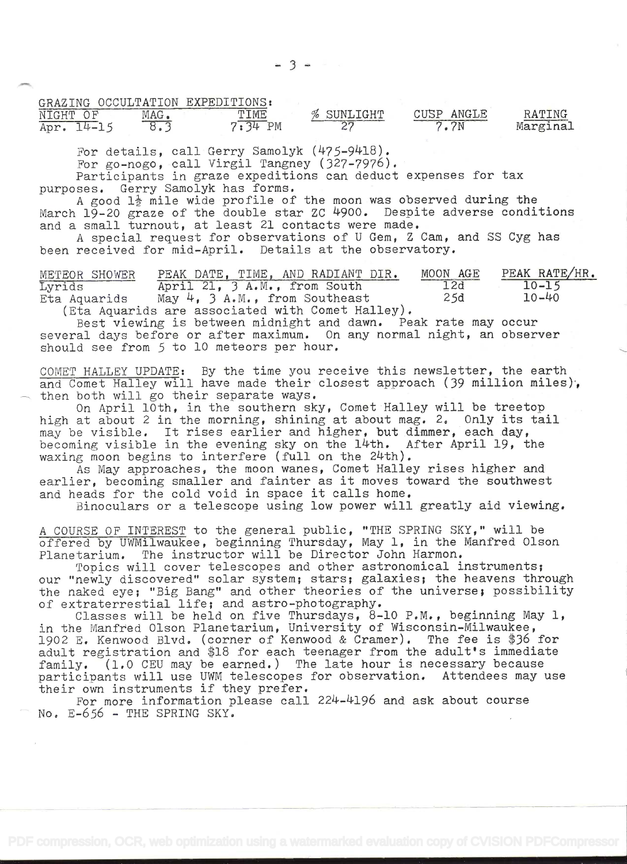| GRAZING OCCULTATION EXPEDITIONS: |  |  |
|----------------------------------|--|--|
|                                  |  |  |

| _________<br>NTGHT<br>つせ | MAG | TIME                 | SUNLIGHT<br>$\%$<br><b><i><u>STERN COMMENTANT</u></i></b> | ANGLE<br>CUSF<br>and a fact the company of the CEO and the company of the CEO and the CEO and the CEO and the CEO and the CEO and | RATING<br><b>Committee of the Committee of Committee</b> |  |
|--------------------------|-----|----------------------|-----------------------------------------------------------|-----------------------------------------------------------------------------------------------------------------------------------|----------------------------------------------------------|--|
| Apr<br>$\mathcal{L}$ and |     | PM<br>3 <sup>T</sup> | or<br>ົ                                                   | 7N                                                                                                                                | Marginal                                                 |  |

For details, call Gerry Samolyk  $(475-9418)$ .<br>For go-nogo, call Virgil Tangney  $(327-7976)$ .

Participants in graze expeditions can deduct expenses for tax purposes. Gerry Samolyk has forms.

A good  $1\frac{1}{2}$  mile wide profile of the moon was observed during the March 19-20 graze of the double star ZC 4900. Despite adverse conditions and a small turnout, at least 21 contacts were made.

<sup>A</sup>special request for observations of U Gem, Z Cam, and SS Cyg has been received for mid-April. Details at the observatory.

METEOR SHOWER PEAK DATE, TIME, AND RADIANT DIR. MOON AGE PEAK RATE/HR.<br>Lyrids 10-15 Lyrids April 21, 3 A.M., from South 12d 10-15<br>Eta Aquarids May 4, 3 A.M., from Southeast 25d 10-40 Aquarids May  $4$ , 3 A.M., from Southeast<br>(Eta Aquarids are associated with Comet Halley).

Best viewing is between midnight and dawn. Peak rate may occur several days before or after maximum. On any normal night, an observer should see from 5 to 10 meteors per hour.

COMET HALLEY UPDATE: By the time you receive this newsletter, the earth and Comet Halley will have made their closest approach (39 million miles), then both will go their separate ways.<br>On April l0th, in the southern sky, Comet Halley will be treetop

high at about 2 in the morning, shining at about mag. 2. Only its tail may be visible. It rises earlier and higher, but dimmer, each day, becoming visible in the evening sky on the 14th. After April 19, the waxing moon begins to interfere (full on the 24th).

As May approaches, the moon wanes, Comet Halley rises higher and earlier, becoming smaller and fainter as it moves toward the southwest and heads for the cold void in space it calls home.

Binoculars or a telescope using low power will greatly aid viewing.

<sup>A</sup>COURSE OF INTEREST to the general public, "THE SPRING SKY," will be offered by UWMilwaukee, beginning Thursday, May 1, in the Manfred Olson Planetarium. The instructor will be Director John Harmon.

Topics will cover telescopes and other astronomical instruments; our "newly discovered" solar system; stars; galaxies; the heavens through<br>the naked eye; "Big Bang" and other theories of the universe; possibility our "newly discovered" solar system; stars; galaxies; the heavens through<br>the naked eye; "Big Bang" and other theories of the universe; possibility<br>of extraterrestial life; and astro-photography.<br>Classes will be held on fi

in the Manfred Olson Planetarium, University of Wisconsin-Milwaukee, 1902 E. Kenwood Blvd. (corner of Kenwood & Cramer). The fee is \$36 for adult registration and \$18 for each teenager from the adult's immediate family. (1,0 CEU may be earned.) The late hour is necessary because participants will use UWM telescopes for observation. Attendees may use<br>their own instruments if they prefer.

For more information please call 224-4196 and ask about course No. E-656 - THE SPRING SKY.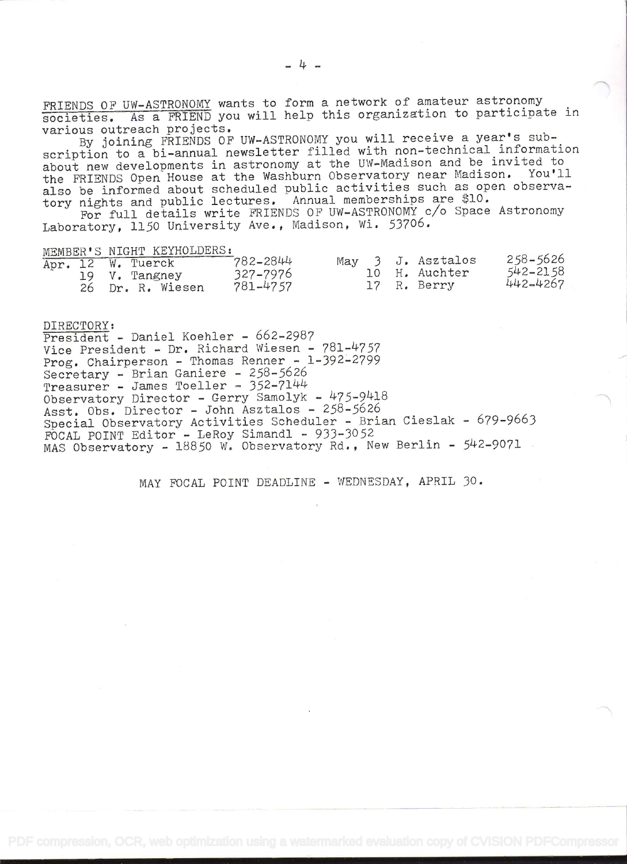FRIENDS OF UW-ASTRONOMY wants to form a network of amateur astronomy societies. As a FRIEND you will help this organization to participate in various outreach projects.

By joining FRIENDS OF UW-ASTRONOMY you will receive a year's subscription to a bi-annual newsletter filled with non-technical information about new developments in astronomy at the UW-Madison and be invited to the FRIENDS Open House at the Washburn Observatory near Madison. You'll also be informed about scheduled public activities such as open observatory nights and public lectures. Annual memberships are \$10.

For full details write FRIENDS OF UW-ASTRONOMY c/o Space Astronomy Laboratory, 1150 University Ave., Madison, Wi. 53706.

MEMBER'S NIGHT KEYHOLDERS:

|  | Apr. 12 W. Tuerck | 782-2844 |  | May 3 J. Asztalos | 258-5626 |
|--|-------------------|----------|--|-------------------|----------|
|  | 19 V. Tangney     | 327-7976 |  | 10 H. Auchter     | 542-2158 |
|  | 26 Dr. R. Wiesen  | 781-4757 |  | 17 R. Berry       | 442-4267 |

DIRECTORY: President - Daniel Koehler - 662-2987 Vice President - Dr, Richard Wiesen - 781-4757 Prog. Chairperson - Thomas Renner - l-392-2799 Secretary - Brian Ganiere - 258-5626 Treasurer - James Toeller - 352-7144 Observatory Director - Gerry Samolyk - 475-9418 Asst. Obs. Director - John Asztalos - 258-5626 Special Observatory Activities Scheduler - Brian Cieslak - 679-9663 FOCAL POINT Editor - LeRoy Simandl - 933-3052 MAS Observatory - 18850 W. Observatory Rd.., New Berlin - 542-9071

MAY FOCAL POINT DEADLINE - WEDNESDAY, APRIL 30.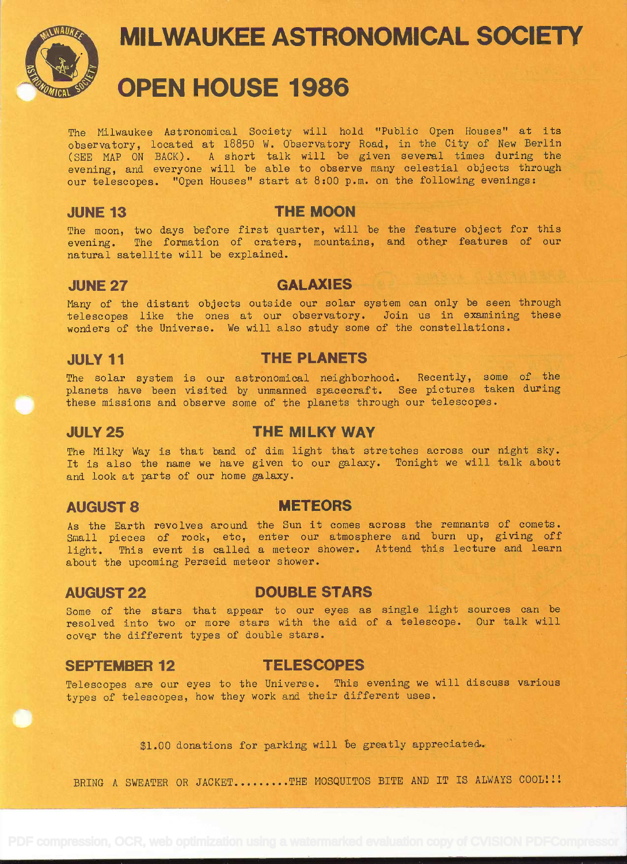

# **MILWAUKEE ASTRONOMICAL SOCIETY OPEN HOUSE 1986**

The Milwaukee Astronomical Society will hold. "Publie Open Houses" at its observatory, located at 18850 W. Observatory Road, in the City of New Berlin (SEE MAP ON BACK). A short talk will be given several times during the evening, and everyone will be able to observe many celestial objects through our telescopes. "Open Houses" start at 8:00 p.m. on the following evenings:

### JUNE 13 THE MOON

The moon, two days before first quarter, will be the feature object for this evening. The formation of craters, mountains, and other features of our natural satellite will be explained.

### JUNE 27 GALAXIES

Many of the distant objects outside our solar system can only be seen through telescopes like the ones at our observatory. Join us in examining these wonders of the Universe. We will also study some of the constellations.

# JULY11 THE PLANETS

The solar system is our astronomical neighborhood. Recently, some of the planets have been visited by unmanned spacecraft. See pictures taken during these missions and observe some of the planets through our telescopes.

# JULY25 THE MILKY WAY

The Milky Way is that band of dim light that stretches across our night sky. It is also the name we have given to our galaxy. Tonight we will talk about and look at parts of our home galaxy.

### AUGUST 8 METEORS

As the Earth revolves around the Sun it comes across the remnants of comets. Small pieces of rock, etc, enter our atmosphere and burn up, giving off light. This event is called a meteor shower. Attend this lecture and learn about the upcoming Perseid meteor shower.

# AUGUST 22 DOUBLE STARS

Some of the stars that appear to our eyes as single light sources can be resolved into two or more stars with the aid cf a telescope. Our talk will cover the different types of double stars.

### SEPTEMBER 12 TELESCOPES

Telescopes are our eyes to the Universe. This evening we will discuss various types of telescopes, how they work and their different uses.

\$1.00 donations for parking will be greatly appreciated.

BRING A SWEATER OR JACKET.........THE MOSQUITOS BITE AND IT IS ALWAYS COOL!!!